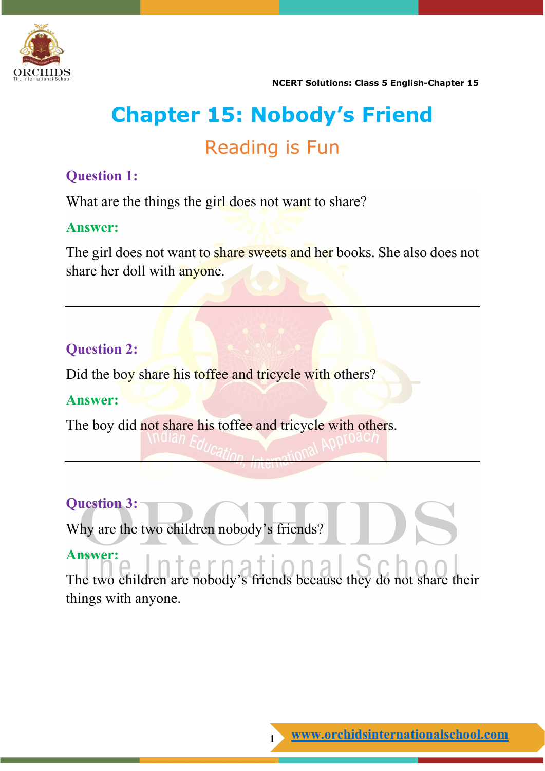

**NCERT Solutions: Class 5 English-Chapter 15**

# **Chapter 15: Nobody's Friend**

## Reading is Fun

## **Question 1:**

What are the things the girl does not want to share?

## **Answer:**

The girl does not want to share sweets and her books. She also does not share her doll with anyone.

## **Question 2:**

Did the boy share his toffee and tricycle with others?

## **Answer:**

The boy did not share his toffee and tricycle with others.

## **Question 3:**

Why are the two children nobody's friends?

## **Answer:**

The two children are nobody's friends because they do not share their things with anyone.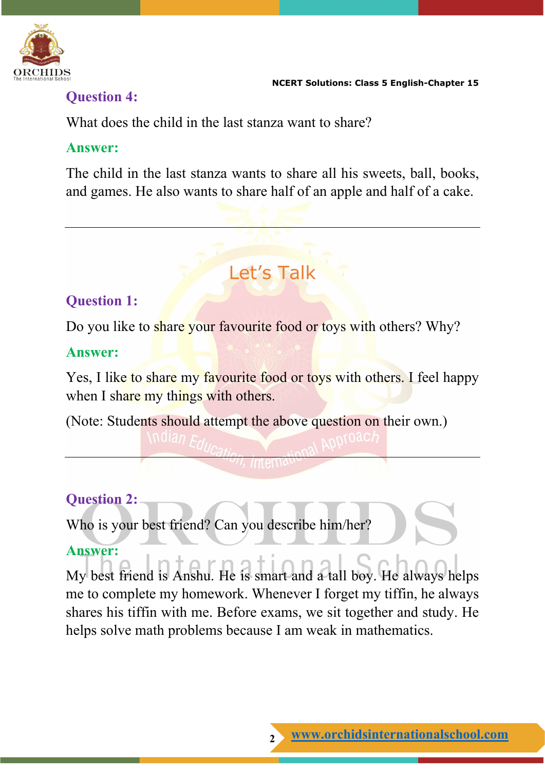

## **Question 4:**

What does the child in the last stanza want to share?

#### **Answer:**

The child in the last stanza wants to share all his sweets, ball, books, and games. He also wants to share half of an apple and half of a cake.

# Let's Talk

## **Question 1:**

Do you like to share your favourite food or toys with others? Why?

## **Answer:**

Yes, I like to share my favourite food or toys with others. I feel happy when I share my things with others.

(Note: Students should attempt the above question on their own.)

## **Question 2:**

Who is your best friend? Can you describe him/her?

## **Answer:**

My best friend is Anshu. He is smart and a tall boy. He always helps me to complete my homework. Whenever I forget my tiffin, he always shares his tiffin with me. Before exams, we sit together and study. He helps solve math problems because I am weak in mathematics.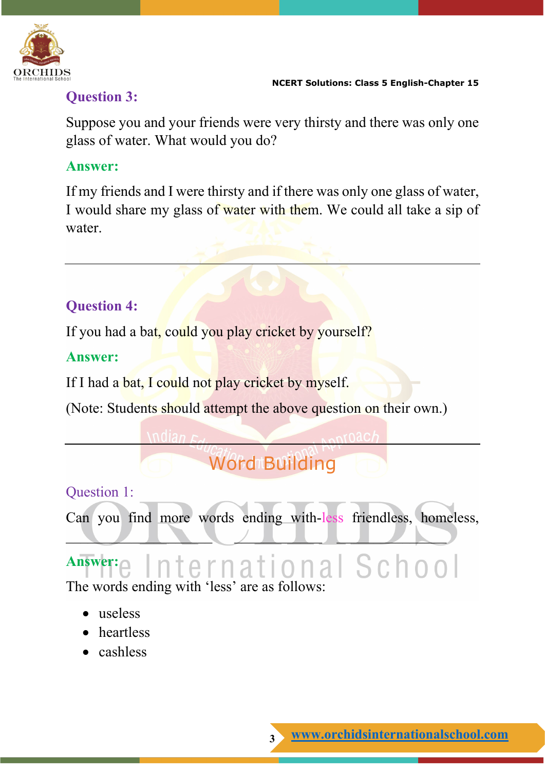

## **Question 3:**

Suppose you and your friends were very thirsty and there was only one glass of water. What would you do?

## **Answer:**

If my friends and I were thirsty and if there was only one glass of water, I would share my glass of water with them. We could all take a sip of water.

## **Question 4:**

If you had a bat, could you play cricket by yourself?

## **Answer:**

If I had a bat, I could not play cricket by myself.

(Note: Students should attempt the above question on their own.)

# **Word Building**

## Question 1:

Can you find more words ending with-less friendless, homeless,

## **Answer:** International School

 $\overline{\phantom{a}}$  , and the set of the set of the set of the set of the set of the set of the set of the set of the set of the set of the set of the set of the set of the set of the set of the set of the set of the set of the s

The words ending with 'less' are as follows:

- useless
- heartless
- cashless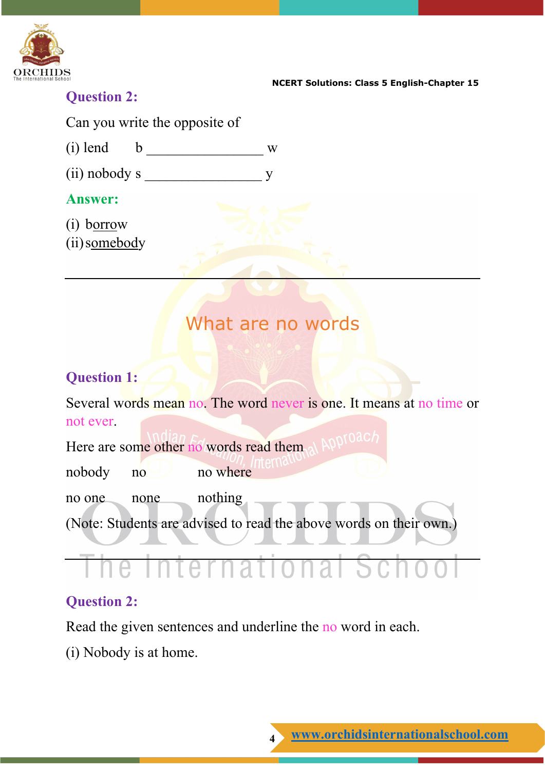

**NCERT Solutions: Class 5 English-Chapter 15**

## **Question 2:**

Can you write the opposite of

(i) lend b  $\frac{1}{2}$  w

 $(ii)$  nobody s  $y$ 

## **Answer:**

- (i) borrow
- (ii)somebody

## What are no words

## **Question 1:**

Several words mean no. The word never is one. It means at no time or not ever.

Here are some other no words read them, at APP nobody no no where no one none nothing (Note: Students are advised to read the above words on their own.)

# International School

## **Question 2:**

Read the given sentences and underline the no word in each.

(i) Nobody is at home.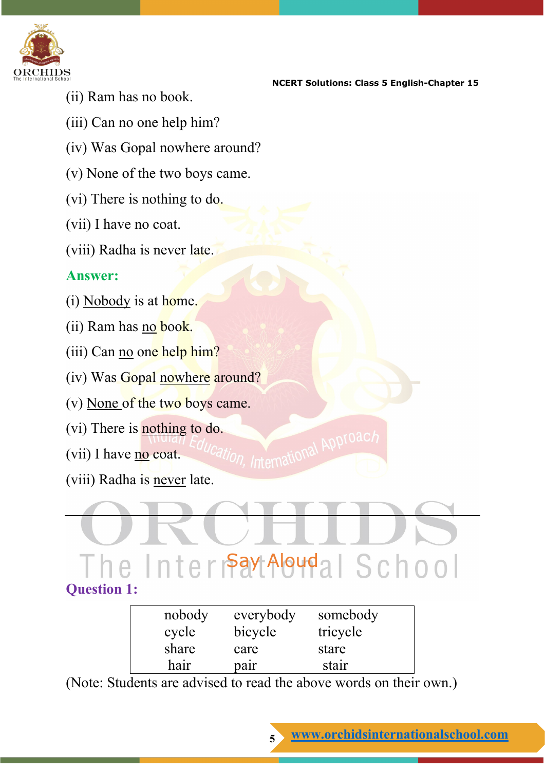

- **NCERT Solutions: Class 5 English-Chapter 15**
- (ii) Ram has no book.
- (iii) Can no one help him?
- (iv) Was Gopal nowhere around?
- (v) None of the two boys came.
- (vi) There is nothing to do.
- (vii) I have no coat.
- (viii) Radha is never late.

#### **Answer:**

- (i) Nobody is at home.
- (ii) Ram has no book.
- (iii) Can no one help him?
- (iv) Was Gopal nowhere around?
- (v) None of the two boys came.
- (vi) There is **nothing to do.**
- (vii) I have no coat.
- (viii) Radha is never late.

# The Intermay Aloudal School

ion, International Approac

## **Question 1:**

| nobody | everybody | somebody |  |
|--------|-----------|----------|--|
| cycle  | bicycle   | tricycle |  |
| share  | care      | stare    |  |
| hair   | pair      | stair    |  |

(Note: Students are advised to read the above words on their own.)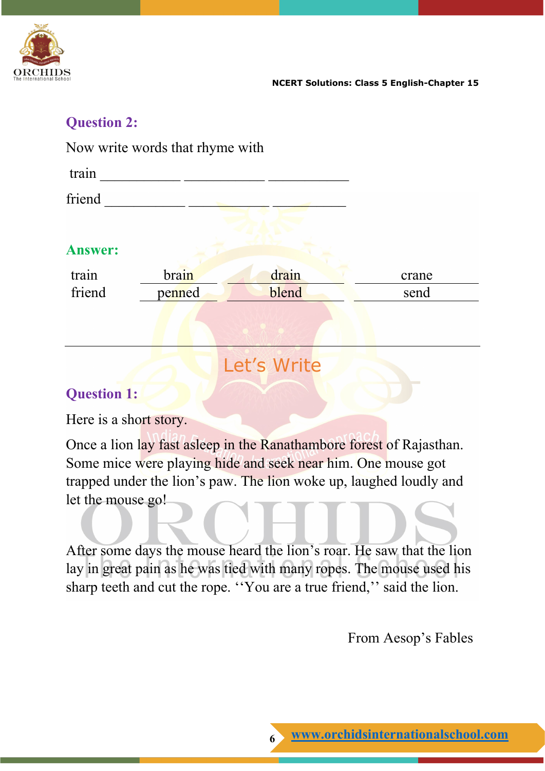

## **Question 2:**

Now write words that rhyme with

| train          |        |       |       |
|----------------|--------|-------|-------|
| friend         |        |       |       |
|                |        |       |       |
| <b>Answer:</b> |        |       |       |
| train          | brain  | drain | crane |
| friend         | penned | blend | send  |
|                |        |       |       |

## Let's Write

## **Question 1:**

Here is a short story.

Once a lion lay fast asleep in the Ranathambore forest of Rajasthan. Some mice were playing hide and seek near him. One mouse got trapped under the lion's paw. The lion woke up, laughed loudly and let the mouse go!

After some days the mouse heard the lion's roar. He saw that the lion lay in great pain as he was tied with many ropes. The mouse used his sharp teeth and cut the rope. ''You are a true friend,'' said the lion.

From Aesop's Fables